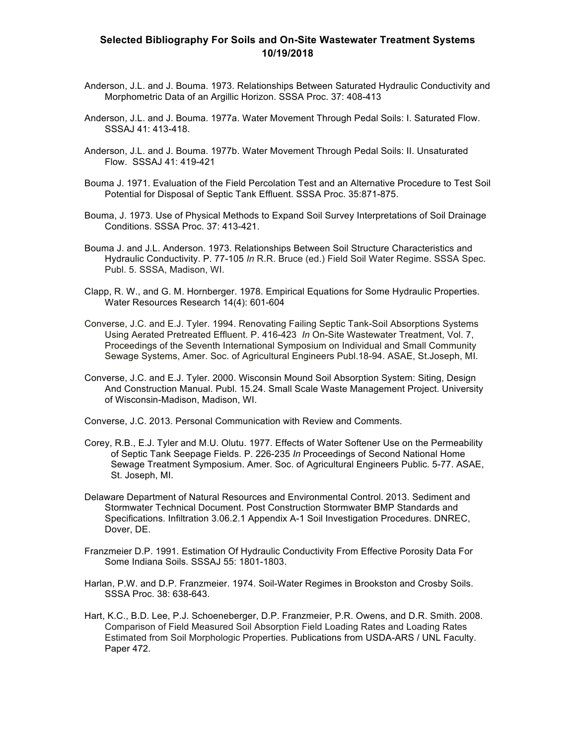## **Selected Bibliography For Soils and On-Site Wastewater Treatment Systems 10/19/2018**

- Anderson, J.L. and J. Bouma. 1973. Relationships Between Saturated Hydraulic Conductivity and Morphometric Data of an Argillic Horizon. SSSA Proc. 37: 408-413
- Anderson, J.L. and J. Bouma. 1977a. Water Movement Through Pedal Soils: I. Saturated Flow. SSSAJ 41: 413-418.
- Anderson, J.L. and J. Bouma. 1977b. Water Movement Through Pedal Soils: II. Unsaturated Flow. SSSAJ 41: 419-421
- Bouma J. 1971. Evaluation of the Field Percolation Test and an Alternative Procedure to Test Soil Potential for Disposal of Septic Tank Effluent. SSSA Proc. 35:871-875.
- Bouma, J. 1973. Use of Physical Methods to Expand Soil Survey Interpretations of Soil Drainage Conditions. SSSA Proc. 37: 413-421.
- Bouma J. and J.L. Anderson. 1973. Relationships Between Soil Structure Characteristics and Hydraulic Conductivity. P. 77-105 *In* R.R. Bruce (ed.) Field Soil Water Regime. SSSA Spec. Publ. 5. SSSA, Madison, WI.
- Clapp, R. W., and G. M. Hornberger. 1978. Empirical Equations for Some Hydraulic Properties. Water Resources Research 14(4): 601-604
- Converse, J.C. and E.J. Tyler. 1994. Renovating Failing Septic Tank-Soil Absorptions Systems Using Aerated Pretreated Effluent. P. 416-423 *In* On-Site Wastewater Treatment, Vol. 7, Proceedings of the Seventh International Symposium on Individual and Small Community Sewage Systems, Amer. Soc. of Agricultural Engineers Publ.18-94. ASAE, St.Joseph, MI.
- Converse, J.C. and E.J. Tyler. 2000. Wisconsin Mound Soil Absorption System: Siting, Design And Construction Manual. Publ. 15.24. Small Scale Waste Management Project. University of Wisconsin-Madison, Madison, WI.

Converse, J.C. 2013. Personal Communication with Review and Comments.

- Corey, R.B., E.J. Tyler and M.U. Olutu. 1977. Effects of Water Softener Use on the Permeability of Septic Tank Seepage Fields. P. 226-235 *In* Proceedings of Second National Home Sewage Treatment Symposium. Amer. Soc. of Agricultural Engineers Public. 5-77. ASAE, St. Joseph, MI.
- Delaware Department of Natural Resources and Environmental Control. 2013. Sediment and Stormwater Technical Document. Post Construction Stormwater BMP Standards and Specifications. Infiltration 3.06.2.1 Appendix A-1 Soil Investigation Procedures. DNREC, Dover, DE.
- Franzmeier D.P. 1991. Estimation Of Hydraulic Conductivity From Effective Porosity Data For Some Indiana Soils. SSSAJ 55: 1801-1803.
- Harlan, P.W. and D.P. Franzmeier. 1974. Soil-Water Regimes in Brookston and Crosby Soils. SSSA Proc. 38: 638-643.
- Hart, K.C., B.D. Lee, P.J. Schoeneberger, D.P. Franzmeier, P.R. Owens, and D.R. Smith. 2008. Comparison of Field Measured Soil Absorption Field Loading Rates and Loading Rates Estimated from Soil Morphologic Properties. Publications from USDA-ARS / UNL Faculty. Paper 472.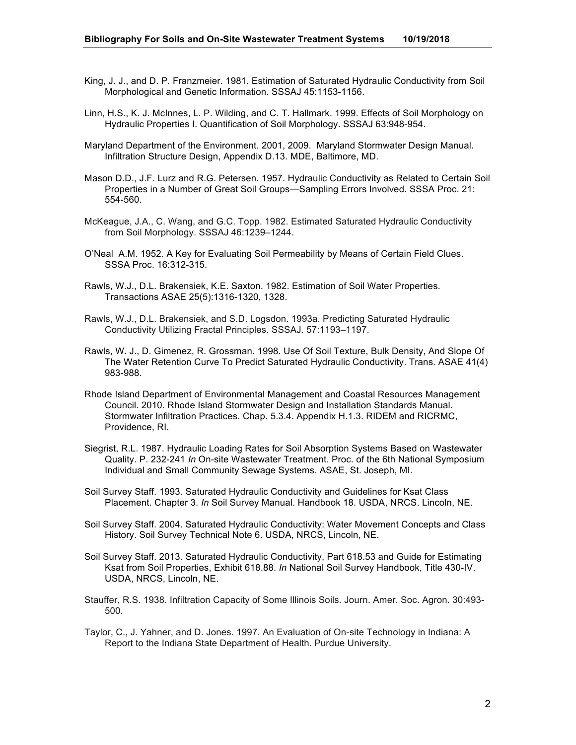- King, J. J., and D. P. Franzmeier. 1981. Estimation of Saturated Hydraulic Conductivity from Soil Morphological and Genetic Information. SSSAJ 45:1153-1156.
- Linn, H.S., K. J. McInnes, L. P. Wilding, and C. T. Hallmark. 1999. Effects of Soil Morphology on Hydraulic Properties I. Quantification of Soil Morphology. SSSAJ 63:948-954.
- Maryland Department of the Environment. 2001, 2009. Maryland Stormwater Design Manual. Infiltration Structure Design, Appendix D.13. MDE, Baltimore, MD.
- Mason D.D., J.F. Lurz and R.G. Petersen. 1957. Hydraulic Conductivity as Related to Certain Soil Properties in a Number of Great Soil Groups—Sampling Errors Involved. SSSA Proc. 21: 554-560.
- McKeague, J.A., C. Wang, and G.C. Topp. 1982. Estimated Saturated Hydraulic Conductivity from Soil Morphology. SSSAJ 46:1239–1244.
- O'Neal A.M. 1952. A Key for Evaluating Soil Permeability by Means of Certain Field Clues. SSSA Proc. 16:312-315.
- Rawls, W.J., D.L. Brakensiek, K.E. Saxton. 1982. Estimation of Soil Water Properties. Transactions ASAE 25(5):1316-1320, 1328.
- Rawls, W.J., D.L. Brakensiek, and S.D. Logsdon. 1993a. Predicting Saturated Hydraulic Conductivity Utilizing Fractal Principles. SSSAJ. 57:1193–1197.
- Rawls, W. J., D. Gimenez, R. Grossman. 1998. Use Of Soil Texture, Bulk Density, And Slope Of The Water Retention Curve To Predict Saturated Hydraulic Conductivity. Trans. ASAE 41(4) 983-988.
- Rhode Island Department of Environmental Management and Coastal Resources Management Council. 2010. Rhode Island Stormwater Design and Installation Standards Manual. Stormwater Infiltration Practices. Chap. 5.3.4. Appendix H.1.3. RIDEM and RICRMC, Providence, RI.
- Siegrist, R.L. 1987. Hydraulic Loading Rates for Soil Absorption Systems Based on Wastewater Quality. P. 232-241 *In* On-site Wastewater Treatment. Proc. of the 6th National Symposium Individual and Small Community Sewage Systems. ASAE, St. Joseph, MI.
- Soil Survey Staff. 1993. Saturated Hydraulic Conductivity and Guidelines for Ksat Class Placement. Chapter 3. *In* Soil Survey Manual. Handbook 18. USDA, NRCS. Lincoln, NE.
- Soil Survey Staff. 2004. Saturated Hydraulic Conductivity: Water Movement Concepts and Class History. Soil Survey Technical Note 6. USDA, NRCS, Lincoln, NE.
- Soil Survey Staff. 2013. Saturated Hydraulic Conductivity, Part 618.53 and Guide for Estimating Ksat from Soil Properties, Exhibit 618.88. *In* National Soil Survey Handbook, Title 430-IV. USDA, NRCS, Lincoln, NE.
- Stauffer, R.S. 1938. Infiltration Capacity of Some Illinois Soils. Journ. Amer. Soc. Agron. 30:493- 500.
- Taylor, C., J. Yahner, and D. Jones. 1997. An Evaluation of On-site Technology in Indiana: A Report to the Indiana State Department of Health. Purdue University.